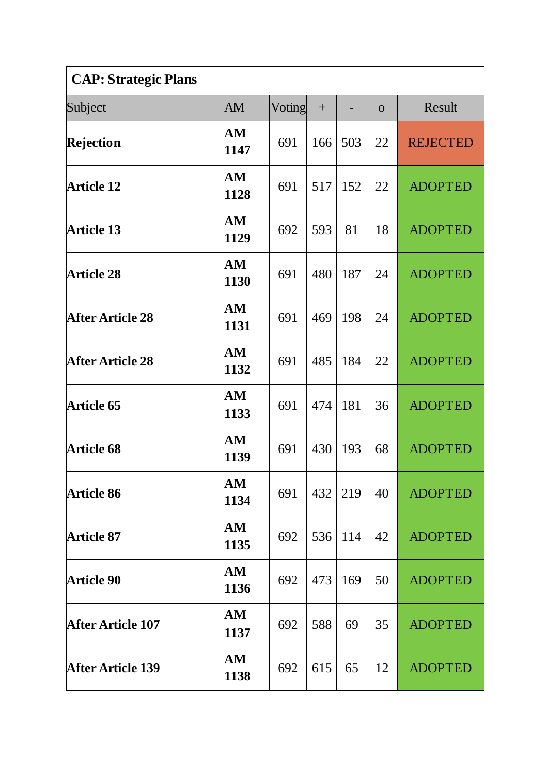| <b>CAP: Strategic Plans</b> |                                |        |     |     |                |                 |  |  |
|-----------------------------|--------------------------------|--------|-----|-----|----------------|-----------------|--|--|
| Subject                     | AM                             | Voting | $+$ |     | $\overline{O}$ | Result          |  |  |
| Rejection                   | ${\bf AM}$<br>1147             | 691    | 166 | 503 | 22             | <b>REJECTED</b> |  |  |
| <b>Article 12</b>           | AM<br>1128                     | 691    | 517 | 152 | 22             | <b>ADOPTED</b>  |  |  |
| <b>Article 13</b>           | AM<br>1129                     | 692    | 593 | 81  | 18             | <b>ADOPTED</b>  |  |  |
| <b>Article 28</b>           | AM<br>1130                     | 691    | 480 | 187 | 24             | <b>ADOPTED</b>  |  |  |
| <b>After Article 28</b>     | AM<br>1131                     | 691    | 469 | 198 | 24             | <b>ADOPTED</b>  |  |  |
| <b>After Article 28</b>     | AM<br>1132                     | 691    | 485 | 184 | 22             | <b>ADOPTED</b>  |  |  |
| <b>Article 65</b>           | AM<br>1133                     | 691    | 474 | 181 | 36             | <b>ADOPTED</b>  |  |  |
| <b>Article 68</b>           | AM<br>1139                     | 691    | 430 | 193 | 68             | <b>ADOPTED</b>  |  |  |
| <b>Article 86</b>           | ${\bf AM}$<br>1134             | 691    | 432 | 219 | 40             | <b>ADOPTED</b>  |  |  |
| <b>Article 87</b>           | AM<br>1135                     | 692    | 536 | 114 | 42             | <b>ADOPTED</b>  |  |  |
| <b>Article 90</b>           | AM<br>1136                     | 692    | 473 | 169 | 50             | <b>ADOPTED</b>  |  |  |
| <b>After Article 107</b>    | ${\bf AM}$<br>1137             | 692    | 588 | 69  | 35             | <b>ADOPTED</b>  |  |  |
| <b>After Article 139</b>    | $\mathbf{A}\mathbf{M}$<br>1138 | 692    | 615 | 65  | 12             | <b>ADOPTED</b>  |  |  |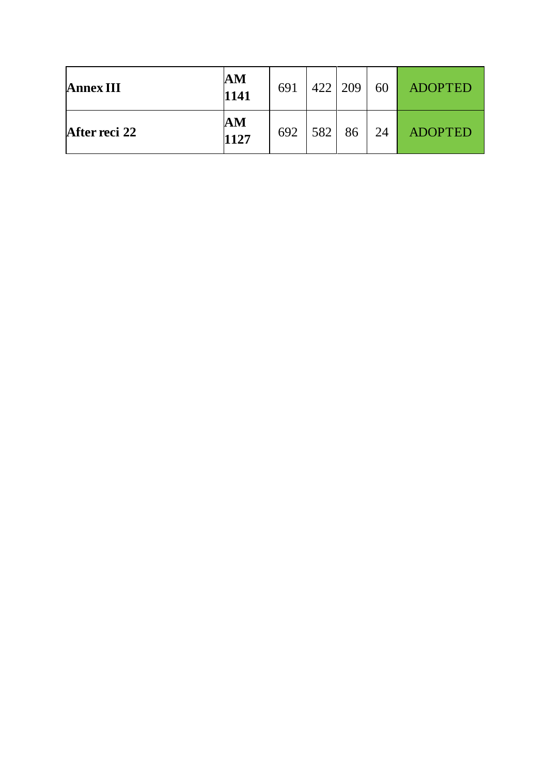| <b>Annex III</b> | $\mathbf{A}\mathbf{M}$<br>1141 | 691 | $422 \mid 209$ |    | 60 | <b>ADOPTED</b> |
|------------------|--------------------------------|-----|----------------|----|----|----------------|
| After reci 22    | $\mathbf{A}\mathbf{M}$<br>1127 | 692 | 582            | 86 | 24 | <b>ADOPTED</b> |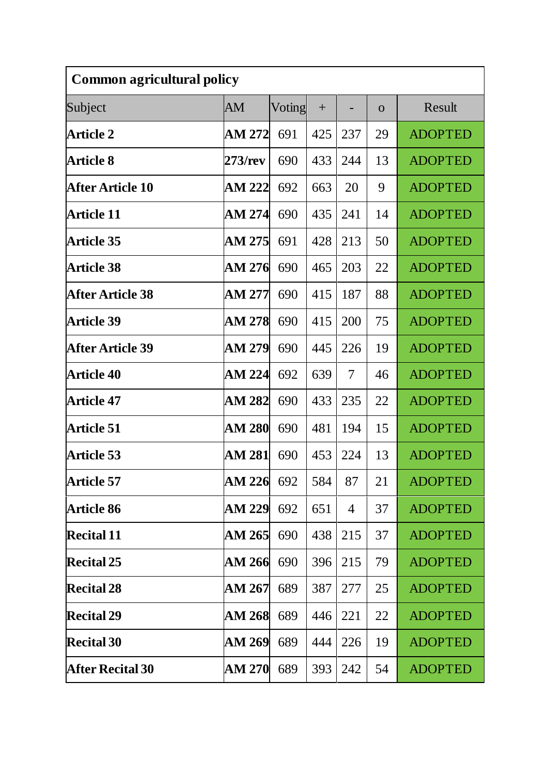| <b>Common agricultural policy</b> |               |        |     |                |                |                |  |  |
|-----------------------------------|---------------|--------|-----|----------------|----------------|----------------|--|--|
| Subject                           | AM            | Voting | $+$ |                | $\overline{O}$ | Result         |  |  |
| <b>Article 2</b>                  | AM 272        | 691    | 425 | 237            | 29             | <b>ADOPTED</b> |  |  |
| <b>Article 8</b>                  | 273/rev       | 690    | 433 | 244            | 13             | <b>ADOPTED</b> |  |  |
| <b>After Article 10</b>           | <b>AM 222</b> | 692    | 663 | 20             | 9              | <b>ADOPTED</b> |  |  |
| <b>Article 11</b>                 | AM 274        | 690    | 435 | 241            | 14             | <b>ADOPTED</b> |  |  |
| <b>Article 35</b>                 | AM 275        | 691    | 428 | 213            | 50             | <b>ADOPTED</b> |  |  |
| <b>Article 38</b>                 | AM 276        | 690    | 465 | 203            | 22             | <b>ADOPTED</b> |  |  |
| <b>After Article 38</b>           | AM 277        | 690    | 415 | 187            | 88             | <b>ADOPTED</b> |  |  |
| <b>Article 39</b>                 | <b>AM 278</b> | 690    | 415 | 200            | 75             | <b>ADOPTED</b> |  |  |
| <b>After Article 39</b>           | AM 279        | 690    | 445 | 226            | 19             | <b>ADOPTED</b> |  |  |
| <b>Article 40</b>                 | AM 224        | 692    | 639 | 7              | 46             | <b>ADOPTED</b> |  |  |
| <b>Article 47</b>                 | <b>AM 282</b> | 690    | 433 | 235            | 22             | <b>ADOPTED</b> |  |  |
| <b>Article 51</b>                 | <b>AM 280</b> | 690    | 481 | 194            | 15             | <b>ADOPTED</b> |  |  |
| <b>Article 53</b>                 | AM 281        | 690    | 453 | 224            | 13             | <b>ADOPTED</b> |  |  |
| <b>Article 57</b>                 | <b>AM 226</b> | 692    | 584 | 87             | 21             | <b>ADOPTED</b> |  |  |
| <b>Article 86</b>                 | <b>AM 229</b> | 692    | 651 | $\overline{4}$ | 37             | <b>ADOPTED</b> |  |  |
| <b>Recital 11</b>                 | AM 265        | 690    | 438 | 215            | 37             | <b>ADOPTED</b> |  |  |
| <b>Recital 25</b>                 | AM 266        | 690    | 396 | 215            | 79             | <b>ADOPTED</b> |  |  |
| <b>Recital 28</b>                 | AM 267        | 689    | 387 | 277            | 25             | <b>ADOPTED</b> |  |  |
| <b>Recital 29</b>                 | <b>AM 268</b> | 689    | 446 | 221            | 22             | <b>ADOPTED</b> |  |  |
| <b>Recital 30</b>                 | AM 269        | 689    | 444 | 226            | 19             | <b>ADOPTED</b> |  |  |
| <b>After Recital 30</b>           | <b>AM 270</b> | 689    | 393 | 242            | 54             | <b>ADOPTED</b> |  |  |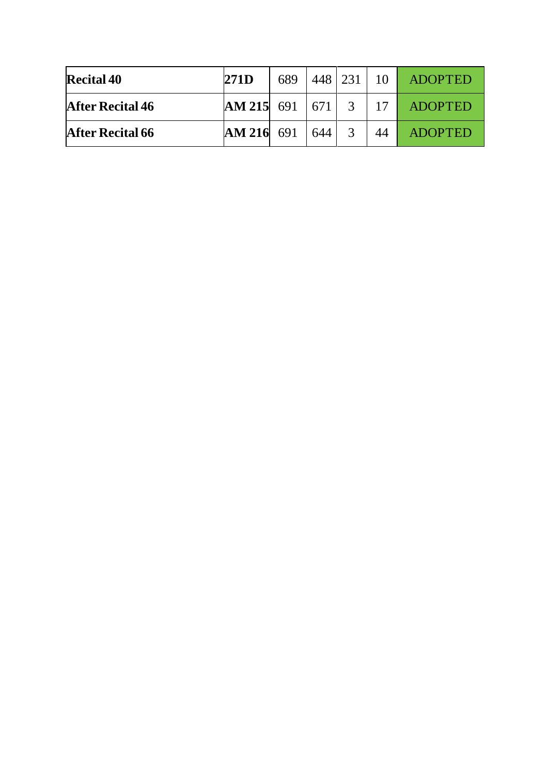| <b>Recital 40</b>       | 271D                         | 689 |     | 448 231     | 10 | <b>ADOPTED</b> |
|-------------------------|------------------------------|-----|-----|-------------|----|----------------|
| <b>After Recital 46</b> | $AM 215 \quad 691 \quad 671$ |     |     | 3           | 17 | <b>ADOPTED</b> |
| <b>After Recital 66</b> | $AM 216$ 691                 |     | 644 | $\mathbf 3$ | 44 | <b>ADOPTED</b> |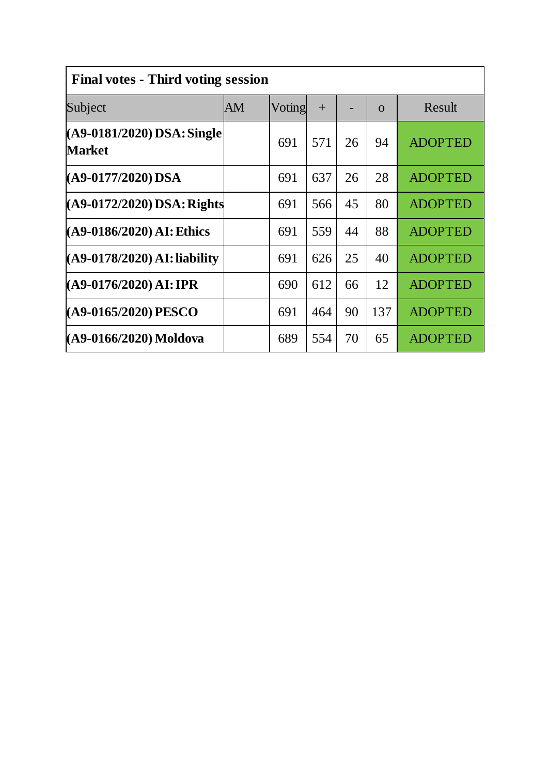| <b>Final votes - Third voting session</b>   |    |        |     |    |          |                |  |  |  |
|---------------------------------------------|----|--------|-----|----|----------|----------------|--|--|--|
| Subject                                     | AM | Voting | $+$ |    | $\Omega$ | Result         |  |  |  |
| (A9-0181/2020) DSA: Single<br><b>Market</b> |    | 691    | 571 | 26 | 94       | <b>ADOPTED</b> |  |  |  |
| (A9-0177/2020) DSA                          |    | 691    | 637 | 26 | 28       | <b>ADOPTED</b> |  |  |  |
| $(A9-0172/2020)$ DSA: Rights                |    | 691    | 566 | 45 | 80       | <b>ADOPTED</b> |  |  |  |
| (A9-0186/2020) AI: Ethics                   |    | 691    | 559 | 44 | 88       | <b>ADOPTED</b> |  |  |  |
| (A9-0178/2020) AI: liability                |    | 691    | 626 | 25 | 40       | <b>ADOPTED</b> |  |  |  |
| $(A9-0176/2020)$ AI: IPR                    |    | 690    | 612 | 66 | 12       | <b>ADOPTED</b> |  |  |  |
| (A9-0165/2020) PESCO                        |    | 691    | 464 | 90 | 137      | <b>ADOPTED</b> |  |  |  |
| (A9-0166/2020) Moldova                      |    | 689    | 554 | 70 | 65       | <b>ADOPTED</b> |  |  |  |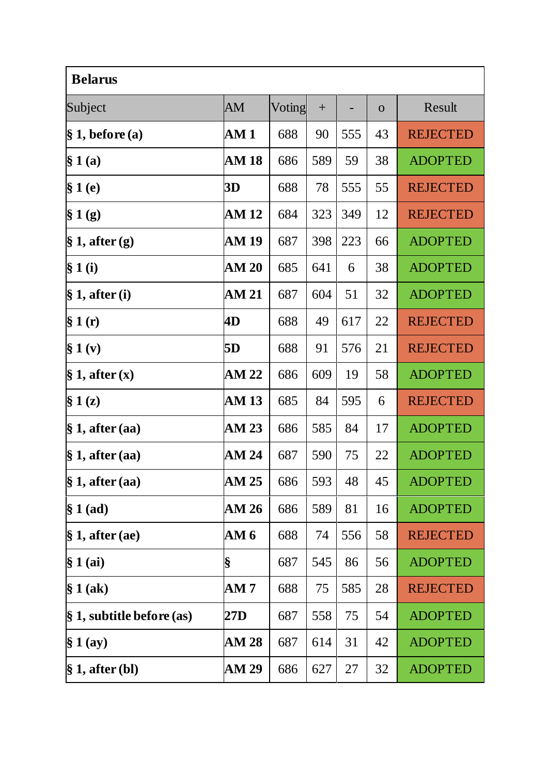| <b>Belarus</b>                       |              |        |     |     |              |                 |  |  |
|--------------------------------------|--------------|--------|-----|-----|--------------|-----------------|--|--|
| Subject                              | AM           | Voting | $+$ |     | $\mathbf{O}$ | Result          |  |  |
| $\S 1$ , before (a)                  | AM1          | 688    | 90  | 555 | 43           | <b>REJECTED</b> |  |  |
| § 1(a)                               | <b>AM 18</b> | 686    | 589 | 59  | 38           | <b>ADOPTED</b>  |  |  |
| § 1(e)                               | 3D           | 688    | 78  | 555 | 55           | <b>REJECTED</b> |  |  |
| § 1(g)                               | AM 12        | 684    | 323 | 349 | 12           | <b>REJECTED</b> |  |  |
| $\S 1$ , after (g)                   | AM 19        | 687    | 398 | 223 | 66           | <b>ADOPTED</b>  |  |  |
| § 1(i)                               | <b>AM 20</b> | 685    | 641 | 6   | 38           | <b>ADOPTED</b>  |  |  |
| $\S 1$ , after (i)                   | <b>AM 21</b> | 687    | 604 | 51  | 32           | <b>ADOPTED</b>  |  |  |
| § 1(r)                               | 4D           | 688    | 49  | 617 | 22           | <b>REJECTED</b> |  |  |
| § 1 (v)                              | 5D           | 688    | 91  | 576 | 21           | <b>REJECTED</b> |  |  |
| $\S 1$ , after $(x)$                 | <b>AM 22</b> | 686    | 609 | 19  | 58           | <b>ADOPTED</b>  |  |  |
| $\S 1(z)$                            | <b>AM 13</b> | 685    | 84  | 595 | 6            | <b>REJECTED</b> |  |  |
| $\S 1$ , after (aa)                  | AM 23        | 686    | 585 | 84  | 17           | <b>ADOPTED</b>  |  |  |
| $\S 1$ , after (aa)                  | AM 24        | 687    | 590 | 75  | 22           | <b>ADOPTED</b>  |  |  |
| $\S$ 1, after (aa)                   | AM 25        | 686    | 593 | 48  | 45           | <b>ADOPTED</b>  |  |  |
| $§ 1$ (ad)                           | AM 26        | 686    | 589 | 81  | 16           | <b>ADOPTED</b>  |  |  |
| $\S 1$ , after (ae)                  | AM 6         | 688    | 74  | 556 | 58           | <b>REJECTED</b> |  |  |
| $§ 1$ (ai)                           | §            | 687    | 545 | 86  | 56           | <b>ADOPTED</b>  |  |  |
| § 1(ak)                              | AM7          | 688    | 75  | 585 | 28           | <b>REJECTED</b> |  |  |
| $\frac{1}{2}$ , subtitle before (as) | 27D          | 687    | 558 | 75  | 54           | <b>ADOPTED</b>  |  |  |
| § 1 (ay)                             | <b>AM 28</b> | 687    | 614 | 31  | 42           | <b>ADOPTED</b>  |  |  |
| $\S 1$ , after (bl)                  | AM 29        | 686    | 627 | 27  | 32           | <b>ADOPTED</b>  |  |  |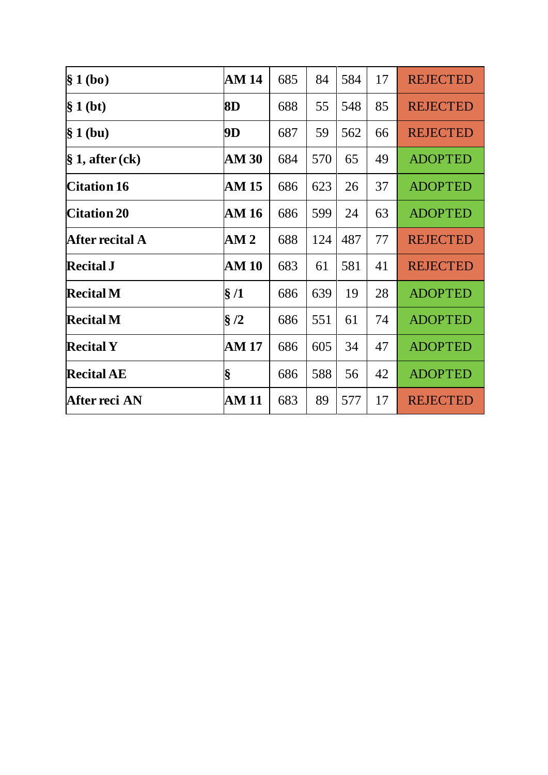| § 1(bo)            | AM 14        | 685 | 84  | 584 | 17 | <b>REJECTED</b> |
|--------------------|--------------|-----|-----|-----|----|-----------------|
| $§ 1$ (bt)         | 8D           | 688 | 55  | 548 | 85 | <b>REJECTED</b> |
| § 1(bu)            | 9D           | 687 | 59  | 562 | 66 | <b>REJECTED</b> |
| $\S$ 1, after (ck) | AM 30        | 684 | 570 | 65  | 49 | <b>ADOPTED</b>  |
| <b>Citation 16</b> | AM 15        | 686 | 623 | 26  | 37 | <b>ADOPTED</b>  |
| <b>Citation 20</b> | AM 16        | 686 | 599 | 24  | 63 | <b>ADOPTED</b>  |
| After recital A    | AM2          | 688 | 124 | 487 | 77 | <b>REJECTED</b> |
| <b>Recital J</b>   | AM 10        | 683 | 61  | 581 | 41 | <b>REJECTED</b> |
| <b>Recital M</b>   | $\S/1$       | 686 | 639 | 19  | 28 | <b>ADOPTED</b>  |
| <b>Recital M</b>   | §/2          | 686 | 551 | 61  | 74 | <b>ADOPTED</b>  |
| <b>Recital Y</b>   | <b>AM 17</b> | 686 | 605 | 34  | 47 | <b>ADOPTED</b>  |
| <b>Recital AE</b>  | §            | 686 | 588 | 56  | 42 | <b>ADOPTED</b>  |
| After reci AN      | AM 11        | 683 | 89  | 577 | 17 | <b>REJECTED</b> |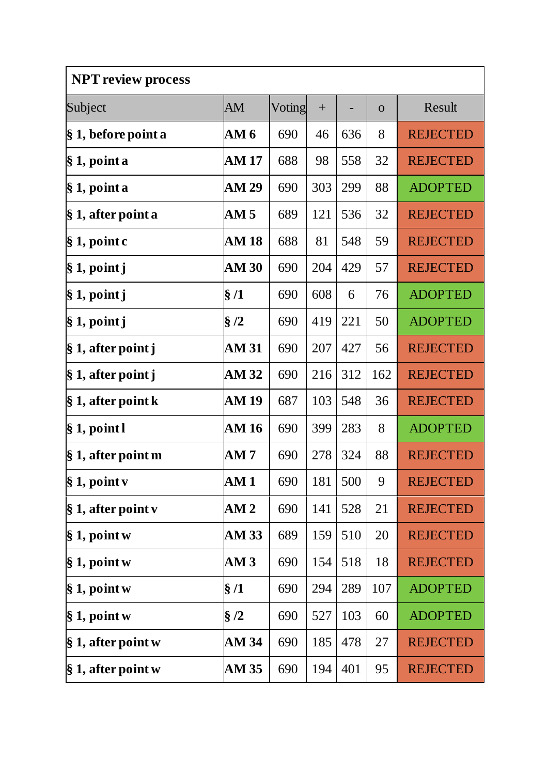| <b>NPT review process</b> |                 |        |     |     |              |                 |  |  |
|---------------------------|-----------------|--------|-----|-----|--------------|-----------------|--|--|
| Subject                   | AM              | Voting | $+$ |     | $\mathbf{O}$ | Result          |  |  |
| § 1, before point a       | AM <sub>6</sub> | 690    | 46  | 636 | 8            | <b>REJECTED</b> |  |  |
| $\S 1$ , point a          | AM 17           | 688    | 98  | 558 | 32           | <b>REJECTED</b> |  |  |
| § 1, point a              | <b>AM 29</b>    | 690    | 303 | 299 | 88           | <b>ADOPTED</b>  |  |  |
| § 1, after point a        | AM 5            | 689    | 121 | 536 | 32           | <b>REJECTED</b> |  |  |
| $\S 1$ , point c          | <b>AM 18</b>    | 688    | 81  | 548 | 59           | <b>REJECTED</b> |  |  |
| § 1, point j              | <b>AM 30</b>    | 690    | 204 | 429 | 57           | <b>REJECTED</b> |  |  |
| $§ 1$ , point j           | $\S/1$          | 690    | 608 | 6   | 76           | <b>ADOPTED</b>  |  |  |
| $§ 1$ , point j           | $\S/2$          | 690    | 419 | 221 | 50           | <b>ADOPTED</b>  |  |  |
| $\S 1$ , after point j    | <b>AM 31</b>    | 690    | 207 | 427 | 56           | <b>REJECTED</b> |  |  |
| $\S 1$ , after point j    | AM 32           | 690    | 216 | 312 | 162          | <b>REJECTED</b> |  |  |
| $\S 1$ , after point k    | AM 19           | 687    | 103 | 548 | 36           | <b>REJECTED</b> |  |  |
| $\S 1$ , point l          | <b>AM 16</b>    | 690    | 399 | 283 | 8            | <b>ADOPTED</b>  |  |  |
| $\S 1$ , after point m    | AM 7            | 690    | 278 | 324 | 88           | <b>REJECTED</b> |  |  |
| $\S 1$ , point v          | AM 1            | 690    | 181 | 500 | 9            | <b>REJECTED</b> |  |  |
| $\S 1$ , after point v    | AM2             | 690    | 141 | 528 | 21           | <b>REJECTED</b> |  |  |
| $\S 1$ , point w          | <b>AM 33</b>    | 689    | 159 | 510 | 20           | <b>REJECTED</b> |  |  |
| $\S 1$ , point w          | AM3             | 690    | 154 | 518 | 18           | <b>REJECTED</b> |  |  |
| $§ 1$ , point w           | $\S/1$          | 690    | 294 | 289 | 107          | <b>ADOPTED</b>  |  |  |
| $\S 1$ , point w          | $\S/2$          | 690    | 527 | 103 | 60           | <b>ADOPTED</b>  |  |  |
| $\S 1$ , after point w    | AM 34           | 690    | 185 | 478 | 27           | <b>REJECTED</b> |  |  |
| $\S 1$ , after point w    | AM 35           | 690    | 194 | 401 | 95           | <b>REJECTED</b> |  |  |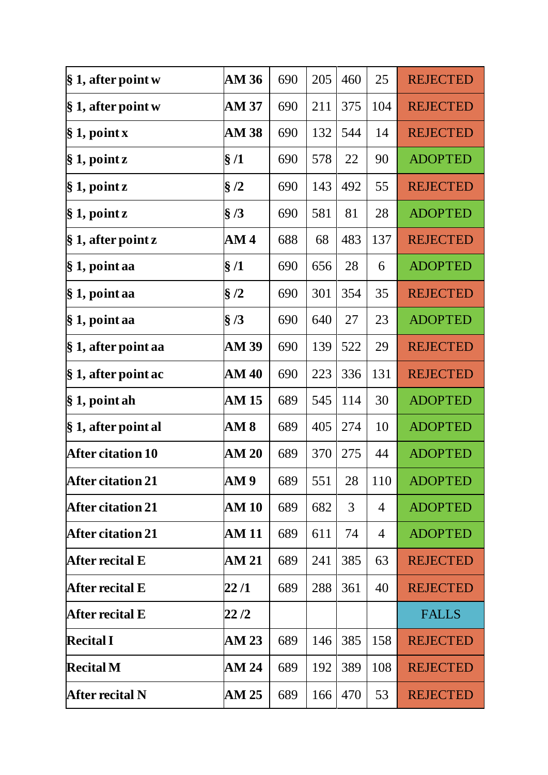| $\S 1$ , after point w   | <b>AM 36</b>  | 690 | 205 | 460 | 25  | <b>REJECTED</b> |
|--------------------------|---------------|-----|-----|-----|-----|-----------------|
| $\S 1$ , after point w   | AM 37         | 690 | 211 | 375 | 104 | <b>REJECTED</b> |
| § 1, point x             | <b>AM 38</b>  | 690 | 132 | 544 | 14  | <b>REJECTED</b> |
| $\S 1$ , point z         | $\S/1$        | 690 | 578 | 22  | 90  | <b>ADOPTED</b>  |
| $\S 1$ , point z         | $\S/2$        | 690 | 143 | 492 | 55  | <b>REJECTED</b> |
| $§ 1$ , point z          | $\S/3$        | 690 | 581 | 81  | 28  | <b>ADOPTED</b>  |
| $\S 1$ , after point z   | AM 4          | 688 | 68  | 483 | 137 | <b>REJECTED</b> |
| $\S 1$ , point aa        | $\S/1$        | 690 | 656 | 28  | 6   | <b>ADOPTED</b>  |
| § 1, point aa            | §/2           | 690 | 301 | 354 | 35  | <b>REJECTED</b> |
| § 1, point aa            | $\frac{8}{3}$ | 690 | 640 | 27  | 23  | <b>ADOPTED</b>  |
| § 1, after point aa      | AM 39         | 690 | 139 | 522 | 29  | <b>REJECTED</b> |
| § 1, after point ac      | AM 40         | 690 | 223 | 336 | 131 | <b>REJECTED</b> |
| § 1, point ah            | AM 15         | 689 | 545 | 114 | 30  | <b>ADOPTED</b>  |
| $\S 1$ , after point al  | AM 8          | 689 | 405 | 274 | 10  | <b>ADOPTED</b>  |
| <b>After citation 10</b> | <b>AM 20</b>  | 689 | 370 | 275 | 44  | <b>ADOPTED</b>  |
| <b>After citation 21</b> | AM 9          | 689 | 551 | 28  | 110 | <b>ADOPTED</b>  |
| <b>After citation 21</b> | <b>AM 10</b>  | 689 | 682 | 3   | 4   | <b>ADOPTED</b>  |
| <b>After citation 21</b> | <b>AM 11</b>  | 689 | 611 | 74  | 4   | <b>ADOPTED</b>  |
| After recital E          | <b>AM 21</b>  | 689 | 241 | 385 | 63  | <b>REJECTED</b> |
| After recital E          | 22 /1         | 689 | 288 | 361 | 40  | <b>REJECTED</b> |
| After recital E          | 22 /2         |     |     |     |     | <b>FALLS</b>    |
| <b>Recital I</b>         | AM 23         | 689 | 146 | 385 | 158 | <b>REJECTED</b> |
| <b>Recital M</b>         | AM 24         | 689 | 192 | 389 | 108 | <b>REJECTED</b> |
| After recital N          | AM 25         | 689 | 166 | 470 | 53  | <b>REJECTED</b> |